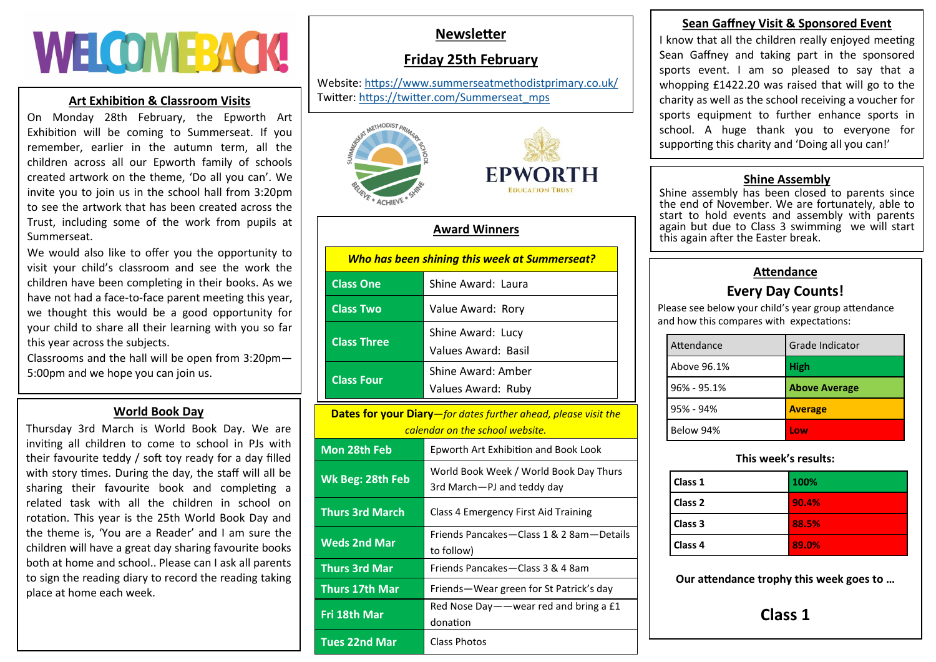# **WELCOMERACK!**

#### **Art Exhibition & Classroom Visits**

On Monday 28th February, the Epworth Art Exhibition will be coming to Summerseat. If you remember, earlier in the autumn term, all the children across all our Epworth family of schools created artwork on the theme, 'Do all you can'. We invite you to join us in the school hall from 3:20pm to see the artwork that has been created across the Trust, including some of the work from pupils at Summerseat.

We would also like to offer you the opportunity to visit your child's classroom and see the work the children have been completing in their books. As we have not had a face-to-face parent meeting this year, we thought this would be a good opportunity for your child to share all their learning with you so far this year across the subjects.

Classrooms and the hall will be open from 3:20pm— 5:00pm and we hope you can join us.

### **World Book Day**

Thursday 3rd March is World Book Day. We are inviting all children to come to school in PJs with their favourite teddy / soft toy ready for a day filled with story times. During the day, the staff will all be sharing their favourite book and completing a related task with all the children in school on rotation. This year is the 25th World Book Day and the theme is, 'You are a Reader' and I am sure the children will have a great day sharing favourite books both at home and school.. Please can I ask all parents to sign the reading diary to record the reading taking place at home each week.

# **Newsletter**

# **Friday 25th February**

Website: <https://www.summerseatmethodistprimary.co.uk/> Twitter: [https://twitter.com/Summerseat\\_mps](https://twitter.com/Summerseat_mps)



#### **Award Winners**

| Who has been shining this week at Summerseat? |                                          |  |
|-----------------------------------------------|------------------------------------------|--|
| <b>Class One</b>                              | Shine Award: Laura                       |  |
| <b>Class Two</b>                              | Value Award: Rory                        |  |
| <b>Class Three</b>                            | Shine Award: Lucy<br>Values Award: Basil |  |
| <b>Class Four</b>                             | Shine Award: Amber<br>Values Award: Ruby |  |

| <b>Dates for your Diary</b> —for dates further ahead, please visit the |                                                                      |  |
|------------------------------------------------------------------------|----------------------------------------------------------------------|--|
| calendar on the school website.                                        |                                                                      |  |
| Mon 28th Feb                                                           | Epworth Art Exhibition and Book Look                                 |  |
| Wk Beg: 28th Feb                                                       | World Book Week / World Book Day Thurs<br>3rd March—PJ and teddy day |  |
| <b>Thurs 3rd March</b>                                                 | Class 4 Emergency First Aid Training                                 |  |
| <b>Weds 2nd Mar</b>                                                    | Friends Pancakes—Class 1 & 2 8am—Details<br>to follow)               |  |
| <b>Thurs 3rd Mar</b>                                                   | Friends Pancakes-Class 3 & 4 8am                                     |  |
| <b>Thurs 17th Mar</b>                                                  | Friends—Wear green for St Patrick's day                              |  |
| Fri 18th Mar                                                           | Red Nose Day — — wear red and bring a $£1$<br>donation               |  |
| Tues 22nd Mar                                                          | Class Photos                                                         |  |

# **Sean Gaffney Visit & Sponsored Event**

I know that all the children really enjoyed meeting Sean Gaffney and taking part in the sponsored sports event. I am so pleased to say that a whopping £1422.20 was raised that will go to the charity as well as the school receiving a voucher for sports equipment to further enhance sports in school. A huge thank you to everyone for supporting this charity and 'Doing all you can!'

#### **Shine Assembly**

Shine assembly has been closed to parents since the end of November. We are fortunately, able to start to hold events and assembly with parents again but due to Class 3 swimming we will start this again after the Easter break.

# **Attendance**

# **Every Day Counts!**

Please see below your child's year group attendance and how this compares with expectations:

| Attendance      | Grade Indicator      |
|-----------------|----------------------|
| Above 96.1%     | <b>High</b>          |
| $96\% - 95.1\%$ | <b>Above Average</b> |
| $95% - 94%$     | <b>Average</b>       |
| Below 94%       | l ow                 |

#### **This week's results:**

| Class 1            | 100%  |
|--------------------|-------|
| Class 2            | 90.4% |
| Class 3            | 88.5% |
| Class <sub>4</sub> | 89.0% |

**Our attendance trophy this week goes to …**

**Class 1**